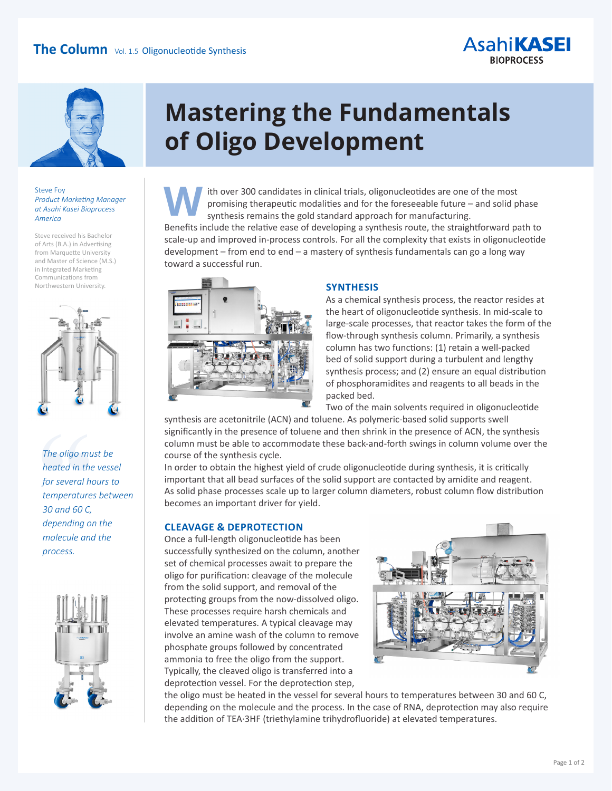



#### Steve Foy *Product Marketing Manager at Asahi Kasei Bioprocess America*

Steve received his Bachelor of Arts (B.A.) in Advertising from Marquette University and Master of Science (M.S.) in Integrated Marketing Communications from Northwestern University.



### The oligo mu<br>heated in the<br>for several he<br>temperature.<br>30 and 60 C,<br>depending or *The oligo must be heated in the vessel for several hours to temperatures between 30 and 60 C, depending on the molecule and the process.*



## **Mastering the Fundamentals of Oligo Development**

 ith over 300 candidates in clinical trials, oligonucleotides are one of the most promising therapeutic modalities and for the foreseeable future – and solid phase synthesis remains the gold standard approach for manufacturing. **W**

Benefits include the relative ease of developing a synthesis route, the straightforward path to scale-up and improved in-process controls. For all the complexity that exists in oligonucleotide development – from end to end – a mastery of synthesis fundamentals can go a long way toward a successful run.



### **SYNTHESIS**

As a chemical synthesis process, the reactor resides at the heart of oligonucleotide synthesis. In mid-scale to large-scale processes, that reactor takes the form of the flow-through synthesis column. Primarily, a synthesis column has two functions: (1) retain a well-packed bed of solid support during a turbulent and lengthy synthesis process; and (2) ensure an equal distribution of phosphoramidites and reagents to all beads in the packed bed.

Two of the main solvents required in oligonucleotide

synthesis are acetonitrile (ACN) and toluene. As polymeric-based solid supports swell significantly in the presence of toluene and then shrink in the presence of ACN, the synthesis column must be able to accommodate these back-and-forth swings in column volume over the course of the synthesis cycle.

In order to obtain the highest yield of crude oligonucleotide during synthesis, it is critically important that all bead surfaces of the solid support are contacted by amidite and reagent. As solid phase processes scale up to larger column diameters, robust column flow distribution becomes an important driver for yield.

#### **CLEAVAGE & DEPROTECTION**

Once a full-length oligonucleotide has been successfully synthesized on the column, another set of chemical processes await to prepare the oligo for purification: cleavage of the molecule from the solid support, and removal of the protecting groups from the now-dissolved oligo. These processes require harsh chemicals and elevated temperatures. A typical cleavage may involve an amine wash of the column to remove phosphate groups followed by concentrated ammonia to free the oligo from the support. Typically, the cleaved oligo is transferred into a deprotection vessel. For the deprotection step,



the oligo must be heated in the vessel for several hours to temperatures between 30 and 60 C, depending on the molecule and the process. In the case of RNA, deprotection may also require the addition of TEA·3HF (triethylamine trihydrofluoride) at elevated temperatures.